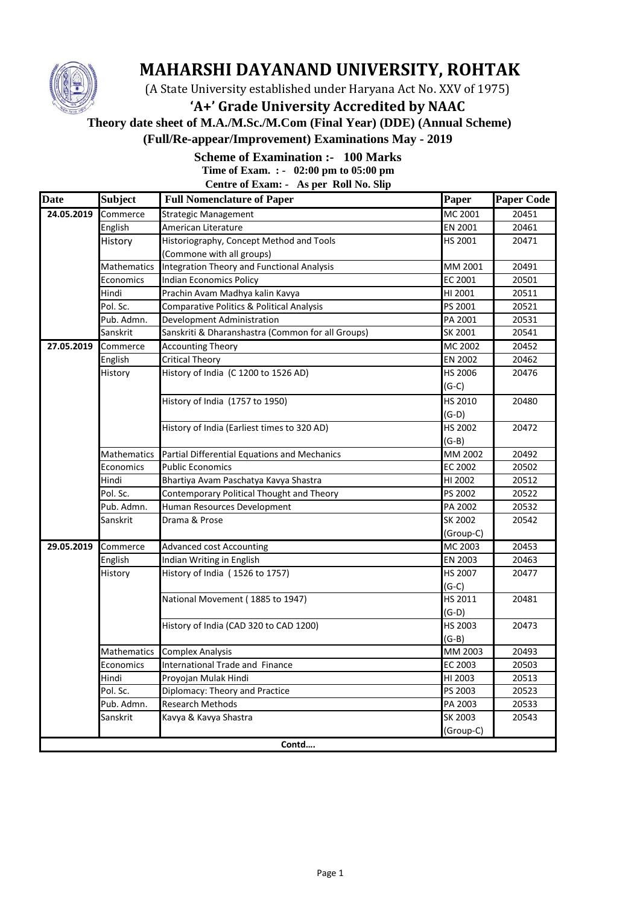

## **MAHARSHI DAYANAND UNIVERSITY, ROHTAK**

(A State University established under Haryana Act No. XXV of 1975)

## **'A+' Grade University Accredited by NAAC**

 **Theory date sheet of M.A./M.Sc./M.Com (Final Year) (DDE) (Annual Scheme)** 

**(Full/Re-appear/Improvement) Examinations May - 2019**

## **Scheme of Examination :- 100 Marks**

**Time of Exam. : - 02:00 pm to 05:00 pm**

**Centre of Exam: - As per Roll No. Slip**

| <b>Date</b> | <b>Subject</b> | <b>Full Nomenclature of Paper</b>                 | Paper     | <b>Paper Code</b> |
|-------------|----------------|---------------------------------------------------|-----------|-------------------|
| 24.05.2019  | Commerce       | <b>Strategic Management</b>                       | MC 2001   | 20451             |
|             | English        | American Literature                               | EN 2001   | 20461             |
|             | History        | Historiography, Concept Method and Tools          | HS 2001   | 20471             |
|             |                | (Commone with all groups)                         |           |                   |
|             | Mathematics    | Integration Theory and Functional Analysis        | MM 2001   | 20491             |
|             | Economics      | <b>Indian Economics Policy</b>                    | EC 2001   | 20501             |
|             | Hindi          | Prachin Avam Madhya kalin Kavya                   | HI 2001   | 20511             |
|             | Pol. Sc.       | Comparative Politics & Political Analysis         | PS 2001   | 20521             |
|             | Pub. Admn.     | Development Administration                        | PA 2001   | 20531             |
|             | Sanskrit       | Sanskriti & Dharanshastra (Common for all Groups) | SK 2001   | 20541             |
| 27.05.2019  | Commerce       | <b>Accounting Theory</b>                          | MC 2002   | 20452             |
|             | English        | <b>Critical Theory</b>                            | EN 2002   | 20462             |
|             | History        | History of India (C 1200 to 1526 AD)              | HS 2006   | 20476             |
|             |                |                                                   | $(G-C)$   |                   |
|             |                | History of India (1757 to 1950)                   | HS 2010   | 20480             |
|             |                |                                                   | $(G-D)$   |                   |
|             |                | History of India (Earliest times to 320 AD)       | HS 2002   | 20472             |
|             |                |                                                   | (G-B)     |                   |
|             | Mathematics    | Partial Differential Equations and Mechanics      | MM 2002   | 20492             |
|             | Economics      | <b>Public Economics</b>                           | EC 2002   | 20502             |
|             | Hindi          | Bhartiya Avam Paschatya Kavya Shastra             | HI 2002   | 20512             |
|             | Pol. Sc.       | Contemporary Political Thought and Theory         | PS 2002   | 20522             |
|             | Pub. Admn.     | Human Resources Development                       | PA 2002   | 20532             |
|             | Sanskrit       | Drama & Prose                                     | SK 2002   | 20542             |
|             |                |                                                   | (Group-C) |                   |
| 29.05.2019  | Commerce       | <b>Advanced cost Accounting</b>                   | MC 2003   | 20453             |
|             | English        | Indian Writing in English                         | EN 2003   | 20463             |
|             | History        | History of India (1526 to 1757)                   | HS 2007   | 20477             |
|             |                |                                                   | (G-C)     |                   |
|             |                | National Movement (1885 to 1947)                  | HS 2011   | 20481             |
|             |                |                                                   | (G-D)     |                   |
|             |                | History of India (CAD 320 to CAD 1200)            | HS 2003   | 20473             |
|             |                |                                                   | $(G-B)$   |                   |
|             | Mathematics    | <b>Complex Analysis</b>                           | MM 2003   | 20493             |
|             | Economics      | <b>International Trade and Finance</b>            | EC 2003   | 20503             |
|             | Hindi          | Proyojan Mulak Hindi                              | HI 2003   | 20513             |
|             | Pol. Sc.       | Diplomacy: Theory and Practice                    | PS 2003   | 20523             |
|             | Pub. Admn.     | <b>Research Methods</b>                           | PA 2003   | 20533             |
|             | Sanskrit       | Kavya & Kavya Shastra                             | SK 2003   | 20543             |
|             |                |                                                   | (Group-C) |                   |
|             |                | Contd                                             |           |                   |